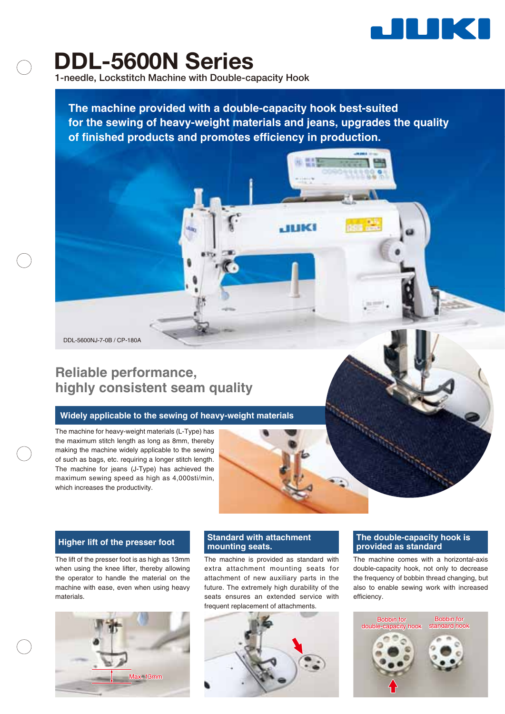

# **DDL-5600N Series**

**1-needle, Lockstitch Machine with Double-capacity Hook**

**The machine provided with a double-capacity hook best-suited for the sewing of heavy-weight materials and jeans, upgrades the quality of finished products and promotes efficiency in production.**

DDL-5600NJ-7-0B / CP-180A

# **Reliable performance, highly consistent seam quality**

### **Widely applicable to the sewing of heavy-weight materials**

The machine for heavy-weight materials (L-Type) has the maximum stitch length as long as 8mm, thereby making the machine widely applicable to the sewing of such as bags, etc. requiring a longer stitch length. The machine for jeans (J-Type) has achieved the maximum sewing speed as high as 4,000sti/min, which increases the productivity.

The lift of the presser foot is as high as 13mm when using the knee lifter, thereby allowing the operator to handle the material on the machine with ease, even when using heavy materials.



# **Standard with attachment**

The machine is provided as standard with extra attachment mounting seats for attachment of new auxiliary parts in the future. The extremely high durability of the seats ensures an extended service with frequent replacement of attachments.



### **higher lift of the presser foot and and Standard with attachment The double-capacity hook is The double-capacity** hook is **The double-capacity** hook is **provided as standard**

The machine comes with a horizontal-axis double-capacity hook, not only to decrease the frequency of bobbin thread changing, but also to enable sewing work with increased efficiency.